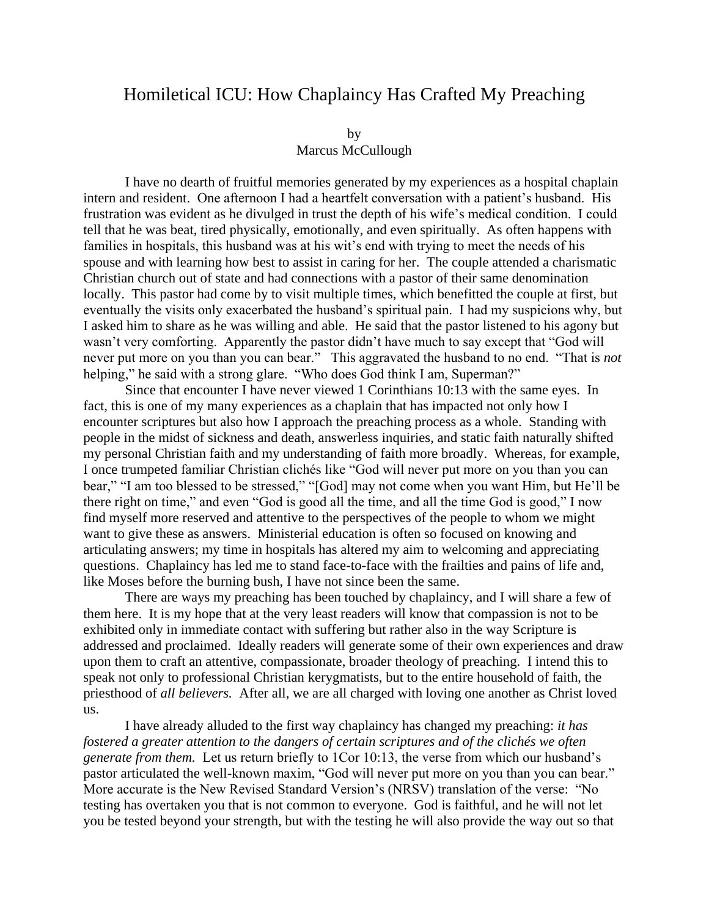## Homiletical ICU: How Chaplaincy Has Crafted My Preaching

by

Marcus McCullough

I have no dearth of fruitful memories generated by my experiences as a hospital chaplain intern and resident. One afternoon I had a heartfelt conversation with a patient's husband. His frustration was evident as he divulged in trust the depth of his wife's medical condition. I could tell that he was beat, tired physically, emotionally, and even spiritually. As often happens with families in hospitals, this husband was at his wit's end with trying to meet the needs of his spouse and with learning how best to assist in caring for her. The couple attended a charismatic Christian church out of state and had connections with a pastor of their same denomination locally. This pastor had come by to visit multiple times, which benefitted the couple at first, but eventually the visits only exacerbated the husband's spiritual pain. I had my suspicions why, but I asked him to share as he was willing and able. He said that the pastor listened to his agony but wasn't very comforting. Apparently the pastor didn't have much to say except that "God will never put more on you than you can bear." This aggravated the husband to no end. "That is *not*  helping," he said with a strong glare. "Who does God think I am, Superman?"

Since that encounter I have never viewed 1 Corinthians 10:13 with the same eyes. In fact, this is one of my many experiences as a chaplain that has impacted not only how I encounter scriptures but also how I approach the preaching process as a whole. Standing with people in the midst of sickness and death, answerless inquiries, and static faith naturally shifted my personal Christian faith and my understanding of faith more broadly. Whereas, for example, I once trumpeted familiar Christian clichés like "God will never put more on you than you can bear," "I am too blessed to be stressed," "[God] may not come when you want Him, but He'll be there right on time," and even "God is good all the time, and all the time God is good," I now find myself more reserved and attentive to the perspectives of the people to whom we might want to give these as answers. Ministerial education is often so focused on knowing and articulating answers; my time in hospitals has altered my aim to welcoming and appreciating questions. Chaplaincy has led me to stand face-to-face with the frailties and pains of life and, like Moses before the burning bush, I have not since been the same.

There are ways my preaching has been touched by chaplaincy, and I will share a few of them here. It is my hope that at the very least readers will know that compassion is not to be exhibited only in immediate contact with suffering but rather also in the way Scripture is addressed and proclaimed. Ideally readers will generate some of their own experiences and draw upon them to craft an attentive, compassionate, broader theology of preaching. I intend this to speak not only to professional Christian kerygmatists, but to the entire household of faith, the priesthood of *all believers.* After all, we are all charged with loving one another as Christ loved us.

I have already alluded to the first way chaplaincy has changed my preaching: *it has fostered a greater attention to the dangers of certain scriptures and of the clichés we often generate from them.* Let us return briefly to 1Cor 10:13, the verse from which our husband's pastor articulated the well-known maxim, "God will never put more on you than you can bear." More accurate is the New Revised Standard Version's (NRSV) translation of the verse: "No testing has overtaken you that is not common to everyone. God is faithful, and he will not let you be tested beyond your strength, but with the testing he will also provide the way out so that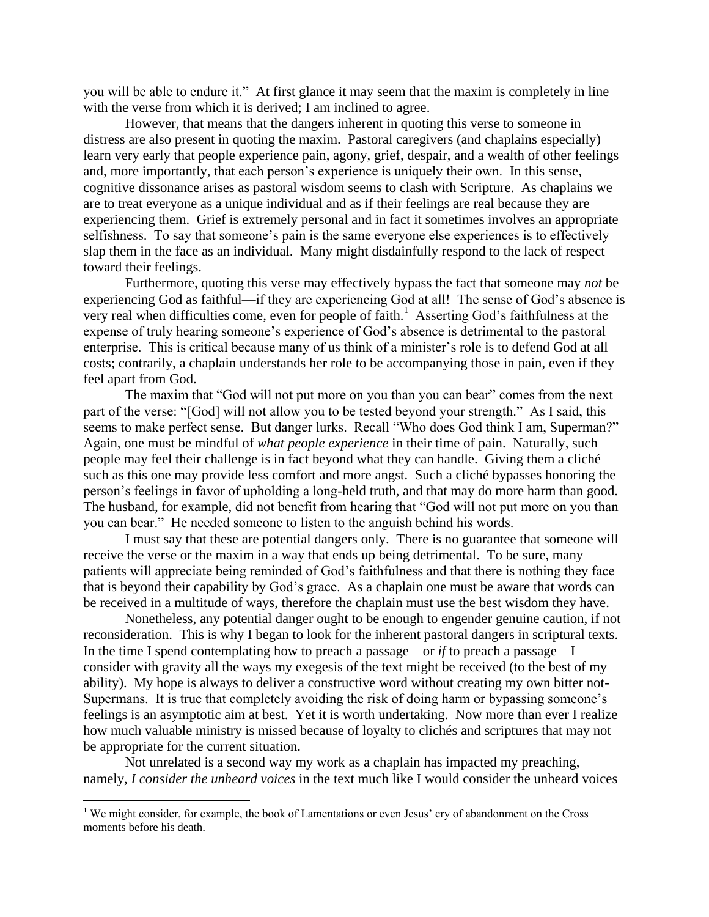you will be able to endure it." At first glance it may seem that the maxim is completely in line with the verse from which it is derived; I am inclined to agree.

However, that means that the dangers inherent in quoting this verse to someone in distress are also present in quoting the maxim. Pastoral caregivers (and chaplains especially) learn very early that people experience pain, agony, grief, despair, and a wealth of other feelings and, more importantly, that each person's experience is uniquely their own. In this sense, cognitive dissonance arises as pastoral wisdom seems to clash with Scripture. As chaplains we are to treat everyone as a unique individual and as if their feelings are real because they are experiencing them. Grief is extremely personal and in fact it sometimes involves an appropriate selfishness. To say that someone's pain is the same everyone else experiences is to effectively slap them in the face as an individual. Many might disdainfully respond to the lack of respect toward their feelings.

Furthermore, quoting this verse may effectively bypass the fact that someone may *not* be experiencing God as faithful—if they are experiencing God at all! The sense of God's absence is very real when difficulties come, even for people of faith.<sup>1</sup> Asserting God's faithfulness at the expense of truly hearing someone's experience of God's absence is detrimental to the pastoral enterprise. This is critical because many of us think of a minister's role is to defend God at all costs; contrarily, a chaplain understands her role to be accompanying those in pain, even if they feel apart from God.

The maxim that "God will not put more on you than you can bear" comes from the next part of the verse: "[God] will not allow you to be tested beyond your strength." As I said, this seems to make perfect sense. But danger lurks. Recall "Who does God think I am, Superman?" Again, one must be mindful of *what people experience* in their time of pain. Naturally, such people may feel their challenge is in fact beyond what they can handle. Giving them a cliché such as this one may provide less comfort and more angst. Such a cliché bypasses honoring the person's feelings in favor of upholding a long-held truth, and that may do more harm than good. The husband, for example, did not benefit from hearing that "God will not put more on you than you can bear." He needed someone to listen to the anguish behind his words.

I must say that these are potential dangers only. There is no guarantee that someone will receive the verse or the maxim in a way that ends up being detrimental. To be sure, many patients will appreciate being reminded of God's faithfulness and that there is nothing they face that is beyond their capability by God's grace. As a chaplain one must be aware that words can be received in a multitude of ways, therefore the chaplain must use the best wisdom they have.

Nonetheless, any potential danger ought to be enough to engender genuine caution, if not reconsideration. This is why I began to look for the inherent pastoral dangers in scriptural texts. In the time I spend contemplating how to preach a passage—or *if* to preach a passage—I consider with gravity all the ways my exegesis of the text might be received (to the best of my ability). My hope is always to deliver a constructive word without creating my own bitter not-Supermans. It is true that completely avoiding the risk of doing harm or bypassing someone's feelings is an asymptotic aim at best. Yet it is worth undertaking. Now more than ever I realize how much valuable ministry is missed because of loyalty to clichés and scriptures that may not be appropriate for the current situation.

Not unrelated is a second way my work as a chaplain has impacted my preaching, namely, *I consider the unheard voices* in the text much like I would consider the unheard voices

 $\overline{a}$ 

 $1$  We might consider, for example, the book of Lamentations or even Jesus' cry of abandonment on the Cross moments before his death.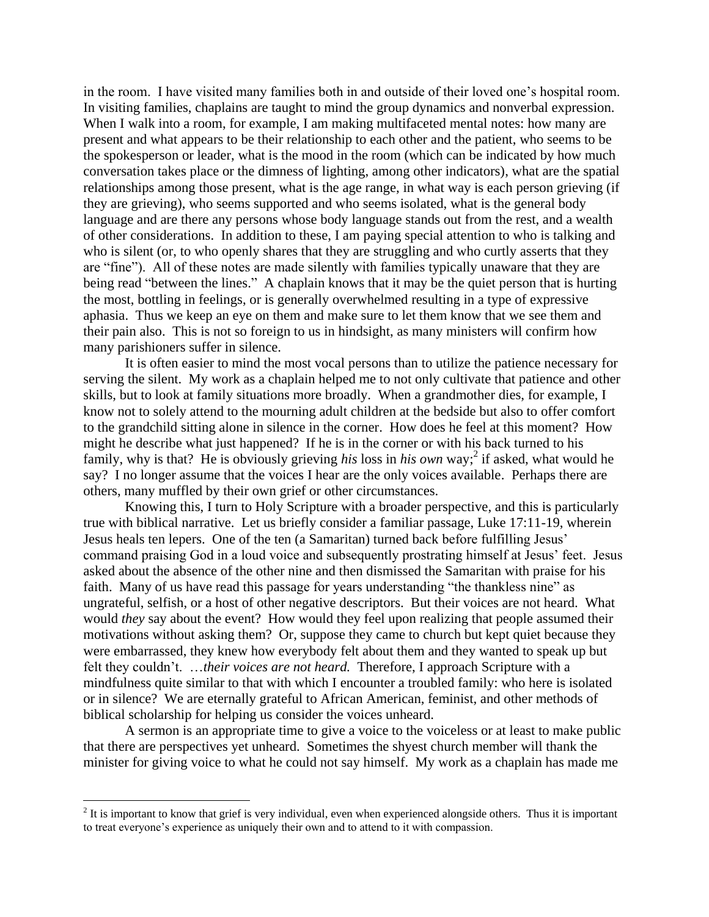in the room. I have visited many families both in and outside of their loved one's hospital room. In visiting families, chaplains are taught to mind the group dynamics and nonverbal expression. When I walk into a room, for example, I am making multifaceted mental notes: how many are present and what appears to be their relationship to each other and the patient, who seems to be the spokesperson or leader, what is the mood in the room (which can be indicated by how much conversation takes place or the dimness of lighting, among other indicators), what are the spatial relationships among those present, what is the age range, in what way is each person grieving (if they are grieving), who seems supported and who seems isolated, what is the general body language and are there any persons whose body language stands out from the rest, and a wealth of other considerations. In addition to these, I am paying special attention to who is talking and who is silent (or, to who openly shares that they are struggling and who curtly asserts that they are "fine"). All of these notes are made silently with families typically unaware that they are being read "between the lines." A chaplain knows that it may be the quiet person that is hurting the most, bottling in feelings, or is generally overwhelmed resulting in a type of expressive aphasia. Thus we keep an eye on them and make sure to let them know that we see them and their pain also. This is not so foreign to us in hindsight, as many ministers will confirm how many parishioners suffer in silence.

It is often easier to mind the most vocal persons than to utilize the patience necessary for serving the silent. My work as a chaplain helped me to not only cultivate that patience and other skills, but to look at family situations more broadly. When a grandmother dies, for example, I know not to solely attend to the mourning adult children at the bedside but also to offer comfort to the grandchild sitting alone in silence in the corner. How does he feel at this moment? How might he describe what just happened? If he is in the corner or with his back turned to his family, why is that? He is obviously grieving his loss in his own way;<sup>2</sup> if asked, what would he say? I no longer assume that the voices I hear are the only voices available. Perhaps there are others, many muffled by their own grief or other circumstances.

Knowing this, I turn to Holy Scripture with a broader perspective, and this is particularly true with biblical narrative. Let us briefly consider a familiar passage, Luke 17:11-19, wherein Jesus heals ten lepers. One of the ten (a Samaritan) turned back before fulfilling Jesus' command praising God in a loud voice and subsequently prostrating himself at Jesus' feet. Jesus asked about the absence of the other nine and then dismissed the Samaritan with praise for his faith. Many of us have read this passage for years understanding "the thankless nine" as ungrateful, selfish, or a host of other negative descriptors. But their voices are not heard. What would *they* say about the event? How would they feel upon realizing that people assumed their motivations without asking them? Or, suppose they came to church but kept quiet because they were embarrassed, they knew how everybody felt about them and they wanted to speak up but felt they couldn't. …*their voices are not heard.* Therefore, I approach Scripture with a mindfulness quite similar to that with which I encounter a troubled family: who here is isolated or in silence? We are eternally grateful to African American, feminist, and other methods of biblical scholarship for helping us consider the voices unheard.

A sermon is an appropriate time to give a voice to the voiceless or at least to make public that there are perspectives yet unheard. Sometimes the shyest church member will thank the minister for giving voice to what he could not say himself. My work as a chaplain has made me

 $\overline{a}$ 

 $2<sup>2</sup>$  It is important to know that grief is very individual, even when experienced alongside others. Thus it is important to treat everyone's experience as uniquely their own and to attend to it with compassion.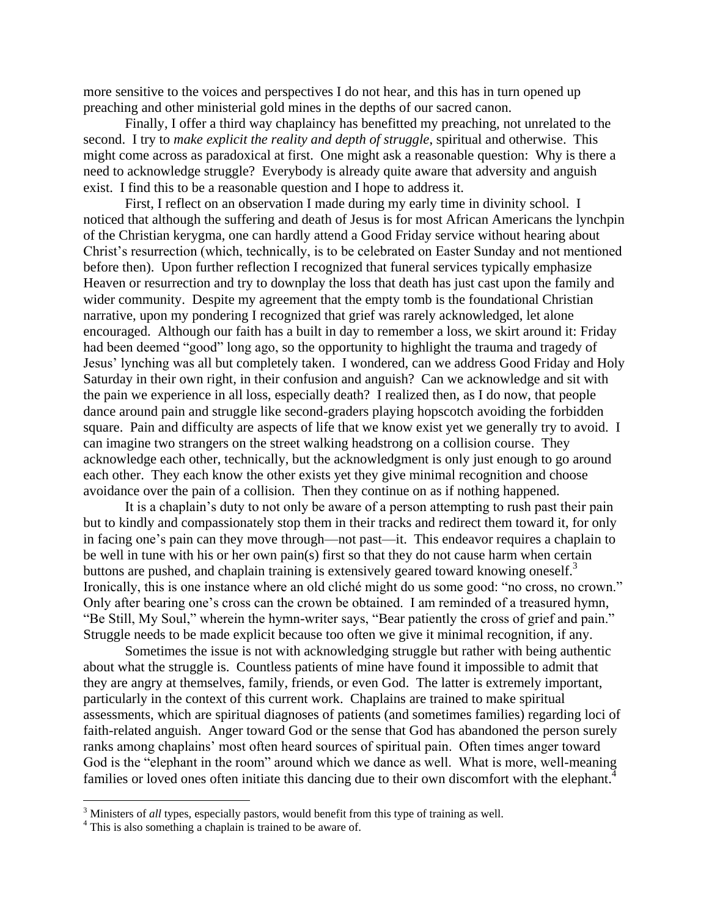more sensitive to the voices and perspectives I do not hear, and this has in turn opened up preaching and other ministerial gold mines in the depths of our sacred canon.

Finally, I offer a third way chaplaincy has benefitted my preaching, not unrelated to the second. I try to *make explicit the reality and depth of struggle*, spiritual and otherwise. This might come across as paradoxical at first. One might ask a reasonable question: Why is there a need to acknowledge struggle? Everybody is already quite aware that adversity and anguish exist. I find this to be a reasonable question and I hope to address it.

First, I reflect on an observation I made during my early time in divinity school. I noticed that although the suffering and death of Jesus is for most African Americans the lynchpin of the Christian kerygma, one can hardly attend a Good Friday service without hearing about Christ's resurrection (which, technically, is to be celebrated on Easter Sunday and not mentioned before then). Upon further reflection I recognized that funeral services typically emphasize Heaven or resurrection and try to downplay the loss that death has just cast upon the family and wider community. Despite my agreement that the empty tomb is the foundational Christian narrative, upon my pondering I recognized that grief was rarely acknowledged, let alone encouraged. Although our faith has a built in day to remember a loss, we skirt around it: Friday had been deemed "good" long ago, so the opportunity to highlight the trauma and tragedy of Jesus' lynching was all but completely taken. I wondered, can we address Good Friday and Holy Saturday in their own right, in their confusion and anguish? Can we acknowledge and sit with the pain we experience in all loss, especially death? I realized then, as I do now, that people dance around pain and struggle like second-graders playing hopscotch avoiding the forbidden square. Pain and difficulty are aspects of life that we know exist yet we generally try to avoid. I can imagine two strangers on the street walking headstrong on a collision course. They acknowledge each other, technically, but the acknowledgment is only just enough to go around each other. They each know the other exists yet they give minimal recognition and choose avoidance over the pain of a collision. Then they continue on as if nothing happened.

It is a chaplain's duty to not only be aware of a person attempting to rush past their pain but to kindly and compassionately stop them in their tracks and redirect them toward it, for only in facing one's pain can they move through—not past—it. This endeavor requires a chaplain to be well in tune with his or her own pain(s) first so that they do not cause harm when certain buttons are pushed, and chaplain training is extensively geared toward knowing oneself.<sup>3</sup> Ironically, this is one instance where an old cliché might do us some good: "no cross, no crown." Only after bearing one's cross can the crown be obtained. I am reminded of a treasured hymn, "Be Still, My Soul," wherein the hymn-writer says, "Bear patiently the cross of grief and pain." Struggle needs to be made explicit because too often we give it minimal recognition, if any.

Sometimes the issue is not with acknowledging struggle but rather with being authentic about what the struggle is. Countless patients of mine have found it impossible to admit that they are angry at themselves, family, friends, or even God. The latter is extremely important, particularly in the context of this current work. Chaplains are trained to make spiritual assessments, which are spiritual diagnoses of patients (and sometimes families) regarding loci of faith-related anguish. Anger toward God or the sense that God has abandoned the person surely ranks among chaplains' most often heard sources of spiritual pain. Often times anger toward God is the "elephant in the room" around which we dance as well. What is more, well-meaning families or loved ones often initiate this dancing due to their own discomfort with the elephant.<sup>4</sup>

 $\overline{a}$ 

<sup>&</sup>lt;sup>3</sup> Ministers of *all* types, especially pastors, would benefit from this type of training as well.

<sup>&</sup>lt;sup>4</sup> This is also something a chaplain is trained to be aware of.